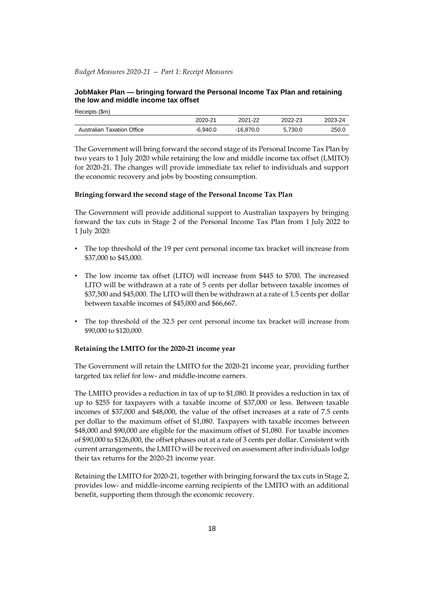## *Budget Measures 2020-21 — Part 1: Receipt Measures*

Receipts (\$m)

# **JobMaker Plan — bringing forward the Personal Income Tax Plan and retaining the low and middle income tax offset**

|                                   | 2020-21  | 2021-22     | 2022-23 | 2023-24 |
|-----------------------------------|----------|-------------|---------|---------|
| <b>Australian Taxation Office</b> | -6.940.0 | $-16.870.0$ | 5.730.0 | 250.0   |

The Government will bring forward the second stage of its Personal Income Tax Plan by two years to 1 July 2020 while retaining the low and middle income tax offset (LMITO) for 2020-21. The changes will provide immediate tax relief to individuals and support the economic recovery and jobs by boosting consumption.

#### **Bringing forward the second stage of the Personal Income Tax Plan**

The Government will provide additional support to Australian taxpayers by bringing forward the tax cuts in Stage 2 of the Personal Income Tax Plan from 1 July 2022 to 1 July 2020:

- The top threshold of the 19 per cent personal income tax bracket will increase from \$37,000 to \$45,000.
- The low income tax offset (LITO) will increase from \$445 to \$700. The increased LITO will be withdrawn at a rate of 5 cents per dollar between taxable incomes of \$37,500 and \$45,000. The LITO will then be withdrawn at a rate of 1.5 cents per dollar between taxable incomes of \$45,000 and \$66,667.
- The top threshold of the 32.5 per cent personal income tax bracket will increase from \$90,000 to \$120,000.

### **Retaining the LMITO for the 2020-21 income year**

The Government will retain the LMITO for the 2020-21 income year, providing further targeted tax relief for low- and middle-income earners.

The LMITO provides a reduction in tax of up to \$1,080. It provides a reduction in tax of up to \$255 for taxpayers with a taxable income of \$37,000 or less. Between taxable incomes of \$37,000 and \$48,000, the value of the offset increases at a rate of 7.5 cents per dollar to the maximum offset of \$1,080. Taxpayers with taxable incomes between \$48,000 and \$90,000 are eligible for the maximum offset of \$1,080. For taxable incomes of \$90,000 to \$126,000, the offset phases out at a rate of 3 cents per dollar. Consistent with current arrangements, the LMITO will be received on assessment after individuals lodge their tax returns for the 2020-21 income year.

Retaining the LMITO for 2020-21, together with bringing forward the tax cuts in Stage 2, provides low- and middle-income earning recipients of the LMITO with an additional benefit, supporting them through the economic recovery.